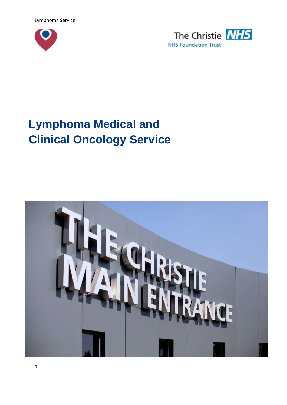Lymphoma Service





# **Lymphoma Medical and Clinical Oncology Service**

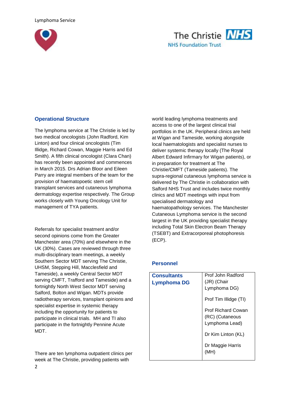



## **Operational Structure**

The lymphoma service at The Christie is led by two medical oncologists (John Radford, Kim Linton) and four clinical oncologists (Tim Illidge, Richard Cowan, Maggie Harris and Ed Smith). A fifth clinical oncologist (Clara Chan) has recently been appointed and commences in March 2015. Drs Adrian Bloor and Eileen Parry are integral members of the team for the provision of haematopoetic stem cell transplant services and cutaneous lymphoma dermatology expertise respectively. The Group works closely with Young Oncology Unit for management of TYA patients.

Referrals for specialist treatment and/or second opinions come from the Greater Manchester area (70%) and elsewhere in the UK (30%). Cases are reviewed through three multi-disciplinary team meetings, a weekly Southern Sector MDT serving The Christie, UHSM, Stepping Hill, Macclesfield and Tameside), a weekly Central Sector MDT serving CMFT, Trafford and Tameside) and a fortnightly North West Sector MDT serving Salford, Bolton and Wigan. MDTs provide radiotherapy services, transplant opinions and specialist expertise in systemic therapy including the opportunity for patients to participate in clinical trials. MH and TI also participate in the fortnightly Pennine Acute MDT.

There are ten lymphoma outpatient clinics per week at The Christie, providing patients with

world leading lymphoma treatments and access to one of the largest clinical trial portfolios in the UK. Peripheral clinics are held at Wigan and Tameside, working alongside local haematologists and specialist nurses to deliver systemic therapy locally (The Royal Albert Edward Infirmary for Wigan patients), or in preparation for treatment at The Christie/CMFT (Tameside patients). The supra-regional cutaneous lymphoma service is delivered by The Christie in collaboration with Salford NHS Trust and includes twice monthly clinics and MDT meetings with input from specialised dermatology and haematopathology services. The Manchester Cutaneous Lymphoma service is the second largest in the UK providing specialist therapy including Total Skin Electron Beam Therapy (TSEBT) and Extracorporeal photophoresis (ECP).

#### **Personnel**

| <b>Consultants</b><br><b>Lymphoma DG</b> | Prof John Radford<br>(JR) (Chair<br>Lymphoma DG)               |
|------------------------------------------|----------------------------------------------------------------|
|                                          | Prof Tim Illidge (TI)                                          |
|                                          | <b>Prof Richard Cowan</b><br>(RC) (Cutaneous<br>Lymphoma Lead) |
|                                          | Dr Kim Linton (KL)                                             |
|                                          | Dr Maggie Harris                                               |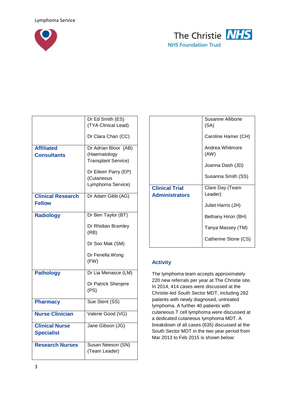



|                          | Dr Ed Smith (ES)                   |
|--------------------------|------------------------------------|
|                          | (TYA Clinical Lead)                |
|                          |                                    |
|                          | Dr Clara Chan (CC)                 |
| <b>Affiliated</b>        | Dr Adrian Bloor (AB)               |
| <b>Consultants</b>       | (Haematology                       |
|                          | <b>Transplant Service)</b>         |
|                          |                                    |
|                          | Dr Eileen Parry (EP)               |
|                          | (Cutaneous                         |
|                          | Lymphoma Service)                  |
| <b>Clinical Research</b> | Dr Adam Gibb (AG)                  |
| <b>Fellow</b>            |                                    |
|                          |                                    |
| <b>Radiology</b>         | Dr Ben Taylor (BT)                 |
|                          | Dr Rhidian Bramley                 |
|                          | (RB)                               |
|                          |                                    |
|                          | Dr Soo Mak (SM)                    |
|                          |                                    |
|                          | Dr Fenella Wong                    |
|                          | (FW)                               |
| <b>Pathology</b>         | Dr Lia Menasce (LM)                |
|                          |                                    |
|                          | Dr Patrick Shenjere                |
|                          | (PS)                               |
| <b>Pharmacy</b>          | Sue Stent (SS)                     |
|                          |                                    |
| <b>Nurse Clinician</b>   | Valerie Good (VG)                  |
|                          |                                    |
| <b>Clinical Nurse</b>    | Jane Gibson (JG)                   |
| <b>Specialist</b>        |                                    |
| <b>Research Nurses</b>   |                                    |
|                          | Susan Neeson (SN)<br>(Team Leader) |
|                          |                                    |

|                       | Susanne Allibone<br>(SA) |
|-----------------------|--------------------------|
|                       | Caroline Hamer (CH)      |
|                       | Andrea Whitmore<br>(AW)  |
|                       | Joanna Dash (JD)         |
|                       | Susanna Smith (SS)       |
|                       |                          |
| <b>Clinical Trial</b> | Clare Day (Team          |
| <b>Administrators</b> | Leader)                  |
|                       | Juliet Harris (JH)       |
|                       | Bethany Hiron (BH)       |
|                       | Tanya Massey (TM)        |
|                       | Catherine Stone (CS)     |

# **Activity**

The lymphoma team accepts approximately 220 new referrals per year at The Christie site. In 2014, 414 cases were discussed at the Christie-led South Sector MDT, including 282 patients with newly diagnosed, untreated lymphoma. A further 40 patients with cutaneous T cell lymphoma were discussed at a dedicated cutaneous lymphoma MDT. A breakdown of all cases (635) discussed at the South Sector MDT in the two year period from Mar 2013 to Feb 2015 is shown below: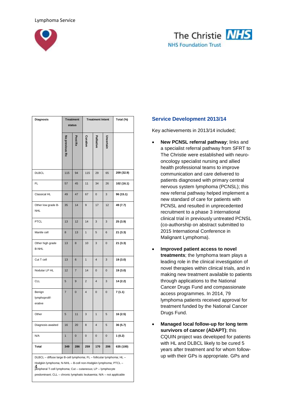



| <b>Diagnosis</b>                                                                                                                                                                                                                                                                           |                | <b>Treatment</b><br>status |                         | <b>Treatment Intent</b> |           | Total (%)  |
|--------------------------------------------------------------------------------------------------------------------------------------------------------------------------------------------------------------------------------------------------------------------------------------------|----------------|----------------------------|-------------------------|-------------------------|-----------|------------|
|                                                                                                                                                                                                                                                                                            | No previous Rx | Post Rx                    | Curative                | Palliative              | Uncertain |            |
| <b>DLBCL</b>                                                                                                                                                                                                                                                                               | 115            | 94                         | 115                     | 29                      | 65        | 209 (32.9) |
| FL                                                                                                                                                                                                                                                                                         | 57             | 45                         | 11                      | 34                      | 26        | 102 (16.1) |
| Classical HL                                                                                                                                                                                                                                                                               | 49             | 47                         | 67                      | 0                       | 3         | 96 (15.1)  |
| Other low grade B-<br><b>NHL</b>                                                                                                                                                                                                                                                           | 35             | 14                         | 9                       | 17                      | 12        | 49 (7.7)   |
| <b>PTCL</b>                                                                                                                                                                                                                                                                                | 13             | 12                         | 14                      | 3                       | 3         | 25 (3.9)   |
| Mantle cell                                                                                                                                                                                                                                                                                | 8              | 13                         | $\mathbf{1}$            | 5                       | 6         | 21 (3.3)   |
| Other high grade<br><b>B-NHL</b>                                                                                                                                                                                                                                                           | 13             | 8                          | 10                      | 3                       | 0         | 21 (3.3)   |
| Cut T cell                                                                                                                                                                                                                                                                                 | 13             | 6                          | $\overline{1}$          | 4                       | 3         | 19 (3.0)   |
| Nodular LP HL                                                                                                                                                                                                                                                                              | 12             | $\overline{7}$             | 14                      | $\mathbf 0$             | 0         | 19 (3.0)   |
| <b>CLL</b>                                                                                                                                                                                                                                                                                 | 5              | 9                          | $\overline{2}$          | 4                       | 3         | 14 (2.2)   |
| Benign<br>lymphoprolif-<br>erative                                                                                                                                                                                                                                                         | $\overline{7}$ | $\mathbf 0$                | $\overline{\mathbf{4}}$ | $\mathbf 0$             | 0         | 7 (1.1)    |
| Other                                                                                                                                                                                                                                                                                      | 5              | 11                         | 3                       | $\overline{1}$          | 5         | 16 (2.5)   |
| Diagnosis awaited                                                                                                                                                                                                                                                                          | 16             | 20                         | 8                       | 4                       | 5         | 36 (5.7)   |
| N/A                                                                                                                                                                                                                                                                                        | 1              | 0                          | 0                       | 0                       | 0         | 1 (0.2)    |
| Total                                                                                                                                                                                                                                                                                      | 349            | 286                        | 259                     | 170                     | 206       | 635 (100)  |
| DLBCL - diffuse large B-cell lymphoma; FL - follicular lymphoma; HL -<br>Hodgkin lymphoma; N-NHL - B-cell non-Hodgkin lymphoma; PTCL -<br><b>4</b><br>peripheral T-cell lymphoma; Cut – cutaneous; LP – lymphocyte<br>predominant; CLL - chronic lymphatic leukaemia; N/A - not applicable |                |                            |                         |                         |           |            |

#### **Service Development 2013/14**

Key achievements in 2013/14 included;

- **New PCNSL referral pathway**; links and a specialist referral pathway from SFRT to The Christie were established with neurooncology specialist nursing and allied health professional teams to improve communication and care delivered to patients diagnosed with primary central nervous system lymphoma (PCNSL); this new referral pathway helped implement a new standard of care for patients with PCNSL and resulted in unprecedented recruitment to a phase 3 international clinical trial in previously untreated PCNSL (co-authorship on abstract submitted to 2015 International Conference in Malignant Lymphoma).
- **Improved patient access to novel treatments**; the lymphoma team plays a leading role in the clinical investigation of novel therapies within clinical trials, and in making new treatment available to patients through applications to the National Cancer Drugs Fund and compassionate access programmes. In 2014, 79 lymphoma patients received approval for treatment funded by the National Cancer Drugs Fund.
- **Managed local follow-up for long term survivors of cancer (ADAPT)**; this CQUIN project was developed for patients with HL and DLBCL likely to be cured 5 years after treatment and for whom followup with their GPs is appropriate. GPs and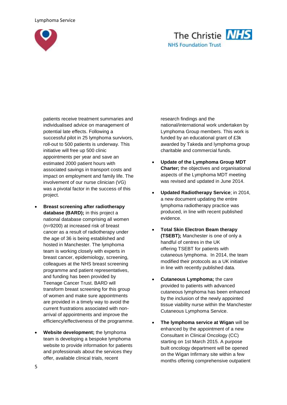



patients receive treatment summaries and individualised advice on management of potential late effects. Following a successful pilot in 25 lymphoma survivors, roll-out to 500 patients is underway. This initiative will free up 500 clinic appointments per year and save an estimated 2000 patient hours with associated savings in transport costs and impact on employment and family life. The involvement of our nurse clinician (VG) was a pivotal factor in the success of this project.

- **Breast screening after radiotherapy database (BARD);** in this project a national database comprising all women (n=9200) at increased risk of breast cancer as a result of radiotherapy under the age of 36 is being established and hosted in Manchester. The lymphoma team is working closely with experts in breast cancer, epidemiology, screening, colleagues at the NHS breast screening programme and patient representatives, and funding has been provided by Teenage Cancer Trust. BARD will transform breast screening for this group of women and make sure appointments are provided in a timely way to avoid the current frustrations associated with nonarrival of appointments and improve the efficiency/effectiveness of the programme.
- **Website development;** the lymphoma team is developing a bespoke lymphoma website to provide information for patients and professionals about the services they offer, available clinical trials, recent

research findings and the national/international work undertaken by Lymphoma Group members. This work is funded by an educational grant of £3k awarded by Takeda and lymphoma group charitable and commercial funds.

- **Update of the Lymphoma Group MDT Charter;** the objectives and organisational aspects of the Lymphoma MDT meeting was revised and updated in June 2014.
- **Updated Radiotherapy Service**; in 2014, a new document updating the entire lymphoma radiotherapy practice was produced, in line with recent published evidence.
- **Total Skin Electron Beam therapy (TSEBT);** Manchester is one of only a handful of centres in the UK offering TSEBT for patients with cutaneous lymphoma. In 2014, the team modified their protocols as a UK initiative in line with recently published data.
- **Cutaneous Lymphoma;** the care provided to patients with advanced cutaneous lymphoma has been enhanced by the inclusion of the newly appointed tissue viability nurse within the Manchester Cutaneous Lymphoma Service.
- **The lymphoma service at Wigan** will be enhanced by the appointment of a new Consultant in Clinical Oncology (CC) starting on 1st March 2015. A purpose built oncology department will be opened on the Wigan Infirmary site within a few months offering comprehensive outpatient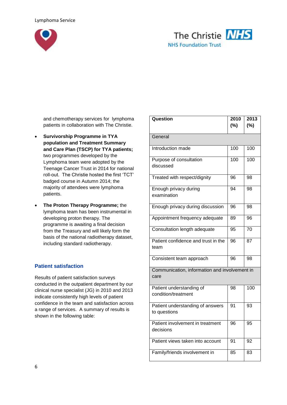



and chemotherapy services for lymphoma patients in collaboration with The Christie.

- **Survivorship Programme in TYA population and Treatment Summary and Care Plan (TSCP) for TYA patients;**  two programmes developed by the Lymphoma team were adopted by the Teenage Cancer Trust in 2014 for national roll-out. The Christie hosted the first 'TCT' badged course in Autumn 2014; the majority of attendees were lymphoma patients.
- **The Proton Therapy Programme;** the lymphoma team has been instrumental in developing proton therapy. The programme is awaiting a final decision from the Treasury and will likely form the basis of the national radiotherapy dataset, including standard radiotherapy.

#### **Patient satisfaction**

Results of patient satisfaction surveys conducted in the outpatient department by our clinical nurse specialist (JG) in 2010 and 2013 indicate consistently high levels of patient confidence in the team and satisfaction across a range of services. A summary of results is shown in the following table:

| Question                                              | 2010<br>(%)     | 2013<br>(%) |
|-------------------------------------------------------|-----------------|-------------|
| General                                               |                 |             |
| Introduction made                                     | 100             | 100         |
| Purpose of consultation<br>discussed                  | 100             | 100         |
| Treated with respect/dignity                          | 96              | 98          |
| Enough privacy during<br>examination                  | $\overline{94}$ | 98          |
| Enough privacy during discussion                      | 96              | 98          |
| Appointment frequency adequate                        | 89              | 96          |
| Consultation length adequate                          | 95              | 70          |
| Patient confidence and trust in the<br>team           | 96              | 87          |
| Consistent team approach                              | 96              | 98          |
| Communication, information and involvement in<br>care |                 |             |
| Patient understanding of<br>condition/treatment       | 98              | 100         |
| Patient understanding of answers<br>to questions      | 91              | 93          |
| Patient involvement in treatment<br>decisions         | 96              | 95          |
| Patient views taken into account                      | 91              | 92          |
| Family/friends involvement in                         | 85              | 83          |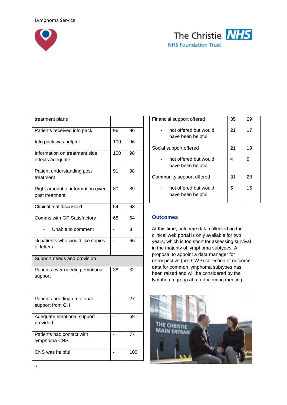



| treatment plans                                     |     |     |
|-----------------------------------------------------|-----|-----|
| Patients received info pack                         | 96  | 96  |
| Info pack was helpful                               | 100 | 96  |
| Information on treatment side<br>effects adequate   | 100 | 98  |
| Patient understanding post<br>treatment             | 91  | 98  |
| Right amount of information given<br>post treatment | 80  | 89  |
| <b>Clinical trial discussed</b>                     | 54  | 63  |
| Comms with GP Satisfactory                          | 68  | 64  |
| Unable to comment                                   |     | 3   |
| % patients who would like copies<br>of letters      |     | 66  |
| Support needs and provision                         |     |     |
| Patients ever needing emotional<br>support          | 38  | 32  |
| Patients needing emotional<br>support from CH       |     | 27  |
| Adequate emotional support<br>provided              |     | 69  |
| Patients had contact with<br>lymphoma CNS           |     | 77  |
| CNS was helpful                                     |     | 100 |

| Financial support offered                  | 35 | 29 |
|--------------------------------------------|----|----|
| not offered but would<br>have been helpful | 21 | 17 |
| Social support offered                     | 21 | 19 |
| not offered but would<br>have been helpful | 4  | 9  |
| Community support offered                  | 31 | 28 |
| not offered but would<br>have been helpful | 5  | 16 |

#### **Outcomes**

At this time, outcome data collected on the clinical web portal is only available for two years, which is too short for assessing survival in the majority of lymphoma subtypes. A proposal to appoint a data manager for retrospective (pre-CWP) collection of outcome data for common lymphoma subtypes has been raised and will be considered by the lymphoma group at a forthcoming meeting.

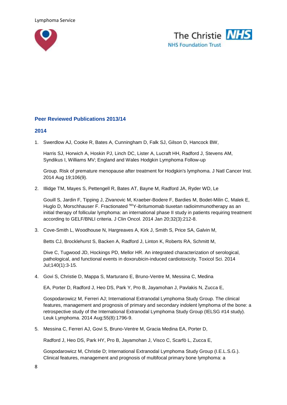



## **Peer Reviewed Publications 2013/14**

#### **2014**

1. Swerdlow AJ, Cooke R, Bates A, Cunningham D, Falk SJ, Gilson D, Hancock BW,

Harris SJ, Horwich A, Hoskin PJ, Linch DC, Lister A, Lucraft HH, Radford J, Stevens AM, Syndikus I, Williams MV; England and Wales Hodgkin Lymphoma Follow-up

Group. Risk of premature menopause after treatment for Hodgkin's lymphoma. J Natl Cancer Inst. 2014 Aug 19;106(9).

2. Illidge TM, Mayes S, Pettengell R, Bates AT, Bayne M, Radford JA, Ryder WD, Le

Gouill S, Jardin F, Tipping J, Zivanovic M, Kraeber-Bodere F, Bardies M, Bodet-Milin C, Malek E, Huglo D, Morschhauser F. Fractionated <sup>90</sup>Y-ibritumomab tiuxetan radioimmunotherapy as an initial therapy of follicular lymphoma: an international phase II study in patients requiring treatment according to GELF/BNLI criteria. J Clin Oncol. 2014 Jan 20;32(3):212-8.

3. Cove-Smith L, Woodhouse N, Hargreaves A, Kirk J, Smith S, Price SA, Galvin M,

Betts CJ, Brocklehurst S, Backen A, Radford J, Linton K, Roberts RA, Schmitt M,

Dive C, Tugwood JD, Hockings PD, Mellor HR. An integrated characterization of serological, pathological, and functional events in doxorubicin-induced cardiotoxicity. Toxicol Sci. 2014 Jul;140(1):3-15.

4. Govi S, Christie D, Mappa S, Marturano E, Bruno-Ventre M, Messina C, Medina

EA, Porter D, Radford J, Heo DS, Park Y, Pro B, Jayamohan J, Pavlakis N, Zucca E,

Gospodarowicz M, Ferreri AJ; International Extranodal Lymphoma Study Group. The clinical features, management and prognosis of primary and secondary indolent lymphoma of the bone: a retrospective study of the International Extranodal Lymphoma Study Group (IELSG #14 study). Leuk Lymphoma. 2014 Aug;55(8):1796-9.

5. Messina C, Ferreri AJ, Govi S, Bruno-Ventre M, Gracia Medina EA, Porter D,

Radford J, Heo DS, Park HY, Pro B, Jayamohan J, Visco C, Scarfò L, Zucca E,

Gospodarowicz M, Christie D; International Extranodal Lymphoma Study Group (I.E.L.S.G.). Clinical features, management and prognosis of multifocal primary bone lymphoma: a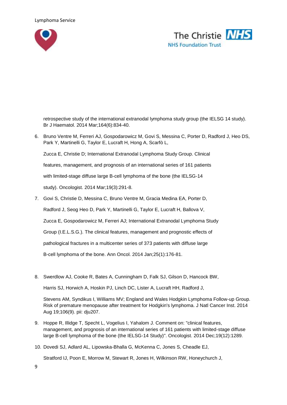



retrospective study of the international extranodal lymphoma study group (the IELSG 14 study). Br J Haematol. 2014 Mar;164(6):834-40.

6. Bruno Ventre M, Ferreri AJ, Gospodarowicz M, Govi S, Messina C, Porter D, Radford J, Heo DS, Park Y, Martinelli G, Taylor E, Lucraft H, Hong A, Scarfò L,

Zucca E, Christie D; International Extranodal Lymphoma Study Group. Clinical

features, management, and prognosis of an international series of 161 patients

with limited-stage diffuse large B-cell lymphoma of the bone (the IELSG-14

study). Oncologist. 2014 Mar;19(3):291-8.

- 7. Govi S, Christie D, Messina C, Bruno Ventre M, Gracia Medina EA, Porter D, Radford J, Seog Heo D, Park Y, Martinelli G, Taylor E, Lucraft H, Ballova V, Zucca E, Gospodarowicz M, Ferreri AJ; International Extranodal Lymphoma Study Group (I.E.L.S.G.). The clinical features, management and prognostic effects of pathological fractures in a multicenter series of 373 patients with diffuse large B-cell lymphoma of the bone. Ann Oncol. 2014 Jan;25(1):176-81.
- 8. Swerdlow AJ, Cooke R, Bates A, Cunningham D, Falk SJ, Gilson D, Hancock BW,

Harris SJ, Horwich A, Hoskin PJ, Linch DC, Lister A, Lucraft HH, Radford J,

Stevens AM, Syndikus I, Williams MV; England and Wales Hodgkin Lymphoma Follow-up Group. Risk of premature menopause after treatment for Hodgkin's lymphoma. J Natl Cancer Inst. 2014 Aug 19;106(9). pii: dju207.

- 9. Hoppe R, Illidge T, Specht L, Vogelius I, Yahalom J. Comment on: "clinical features, management, and prognosis of an international series of 161 patients with limited-stage diffuse large B-cell lymphoma of the bone (the IELSG-14 Study)". Oncologist. 2014 Dec;19(12):1289.
- 10. Dovedi SJ, Adlard AL, Lipowska-Bhalla G, McKenna C, Jones S, Cheadle EJ,

Stratford IJ, Poon E, Morrow M, Stewart R, Jones H, Wilkinson RW, Honeychurch J,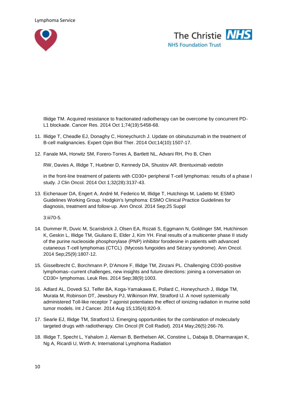



Illidge TM. Acquired resistance to fractionated radiotherapy can be overcome by concurrent PD-L1 blockade. Cancer Res. 2014 Oct 1;74(19):5458-68.

- 11. Illidge T, Cheadle EJ, Donaghy C, Honeychurch J. Update on obinutuzumab in the treatment of B-cell malignancies. Expert Opin Biol Ther. 2014 Oct;14(10):1507-17.
- 12. Fanale MA, Horwitz SM, Forero-Torres A, Bartlett NL, Advani RH, Pro B, Chen

RW, Davies A, Illidge T, Huebner D, Kennedy DA, Shustov AR. Brentuximab vedotin

in the front-line treatment of patients with CD30+ peripheral T-cell lymphomas: results of a phase I study. J Clin Oncol. 2014 Oct 1;32(28):3137-43.

13. Eichenauer DA, Engert A, André M, Federico M, Illidge T, Hutchings M, Ladetto M; ESMO Guidelines Working Group. Hodgkin's lymphoma: ESMO Clinical Practice Guidelines for diagnosis, treatment and follow-up. Ann Oncol. 2014 Sep;25 Suppl

3:iii70-5.

- 14. Dummer R, Duvic M, Scarisbrick J, Olsen EA, Rozati S, Eggmann N, Goldinger SM, Hutchinson K, Geskin L, Illidge TM, Giuliano E, Elder J, Kim YH. Final results of a multicenter phase II study of the purine nucleoside phosphorylase (PNP) inhibitor forodesine in patients with advanced cutaneous T-cell lymphomas (CTCL) (Mycosis fungoides and Sézary syndrome). Ann Oncol. 2014 Sep;25(9):1807-12.
- 15. Gisselbrecht C, Borchmann P, D'Amore F, Illidge TM, Zinzani PL. Challenging CD30-positive lymphomas--current challenges, new insights and future directions: joining a conversation on CD30+ lymphomas. Leuk Res. 2014 Sep;38(9):1003.
- 16. Adlard AL, Dovedi SJ, Telfer BA, Koga-Yamakawa E, Pollard C, Honeychurch J, Illidge TM, Murata M, Robinson DT, Jewsbury PJ, Wilkinson RW, Stratford IJ. A novel systemically administered Toll-like receptor 7 agonist potentiates the effect of ionizing radiation in murine solid tumor models. Int J Cancer. 2014 Aug 15;135(4):820-9.
- 17. Searle EJ, Illidge TM, Stratford IJ. Emerging opportunities for the combination of molecularly targeted drugs with radiotherapy. Clin Oncol (R Coll Radiol). 2014 May;26(5):266-76.
- 18. Illidge T, Specht L, Yahalom J, Aleman B, Berthelsen AK, Constine L, Dabaja B, Dharmarajan K, Ng A, Ricardi U, Wirth A; International Lymphoma Radiation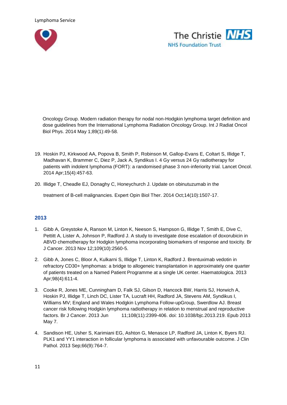



Oncology Group. Modern radiation therapy for nodal non-Hodgkin lymphoma target definition and dose guidelines from the International Lymphoma Radiation Oncology Group. Int J Radiat Oncol Biol Phys. 2014 May 1;89(1):49-58.

- 19. Hoskin PJ, Kirkwood AA, Popova B, Smith P, Robinson M, Gallop-Evans E, Coltart S, Illidge T, Madhavan K, Brammer C, Diez P, Jack A, Syndikus I. 4 Gy versus 24 Gy radiotherapy for patients with indolent lymphoma (FORT): a randomised phase 3 non-inferiority trial. Lancet Oncol. 2014 Apr;15(4):457-63.
- 20. Illidge T, Cheadle EJ, Donaghy C, Honeychurch J. Update on obinutuzumab in the

treatment of B-cell malignancies. Expert Opin Biol Ther. 2014 Oct;14(10):1507-17.

# **2013**

- 1. Gibb A, Greystoke A, Ranson M, Linton K, Neeson S, Hampson G, Illidge T, Smith E, Dive C, Pettitt A, Lister A, Johnson P, Radford J. A study to investigate dose escalation of doxorubicin in ABVD chemotherapy for Hodgkin lymphoma incorporating biomarkers of response and toxicity. Br J Cancer. 2013 Nov 12;109(10):2560-5.
- 2. Gibb A, Jones C, Bloor A, Kulkarni S, Illidge T, Linton K, Radford J. Brentuximab vedotin in refractory CD30+ lymphomas: a bridge to allogeneic transplantation in approximately one quarter of patients treated on a Named Patient Programme at a single UK center. Haematologica. 2013 Apr;98(4):611-4.
- 3. Cooke R, Jones ME, Cunningham D, Falk SJ, Gilson D, Hancock BW, Harris SJ, Horwich A, Hoskin PJ, Illidge T, Linch DC, Lister TA, Lucraft HH, Radford JA, Stevens AM, Syndikus I, Williams MV; England and Wales Hodgkin Lymphoma Follow-upGroup, Swerdlow AJ. Breast cancer risk following Hodgkin lymphoma radiotherapy in relation to menstrual and reproductive factors. Br J Cancer. 2013 Jun 11;108(11):2399-406. doi: 10.1038/bjc.2013.219. Epub 2013 May 7.
- 4. Sandison HE, Usher S, Karimiani EG, Ashton G, Menasce LP, Radford JA, Linton K, Byers RJ. PLK1 and YY1 interaction in follicular lymphoma is associated with unfavourable outcome. J Clin Pathol. 2013 Sep;66(9):764-7.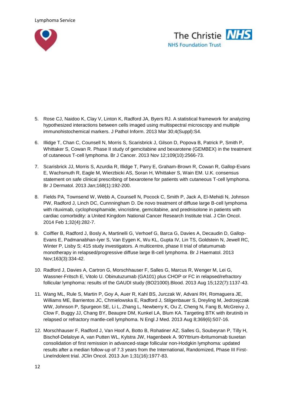



- 5. Rose CJ, Naidoo K, Clay V, Linton K, Radford JA, Byers RJ. A statistical framework for analyzing hypothesized interactions between cells imaged using multispectral microscopy and multiple immunohistochemical markers. J Pathol Inform. 2013 Mar 30;4(Suppl):S4.
- 6. Illidge T, Chan C, Counsell N, Morris S, Scarisbrick J, Gilson D, Popova B, Patrick P, Smith P, Whittaker S, Cowan R. Phase II study of gemcitabine and bexarotene (GEMBEX) in the treatment of cutaneous T-cell lymphoma. Br J Cancer. 2013 Nov 12;109(10):2566-73.
- 7. Scarisbrick JJ, Morris S, Azurdia R, Illidge T, Parry E, Graham-Brown R, Cowan R, Gallop-Evans E, Wachsmuth R, Eagle M, Wierzbicki AS, Soran H, Whittaker S, Wain EM. U.K. consensus statement on safe clinical prescribing of bexarotene for patients with cutaneous T-cell lymphoma. Br J Dermatol. 2013 Jan;168(1):192-200.
- 8. Fields PA, Townsend W, Webb A, Counsell N, Pocock C, Smith P, Jack A, El-Mehidi N, Johnson PW, Radford J, Linch DC, Cunnningham D. De novo treatment of diffuse large B-cell lymphoma with rituximab, cyclophosphamide, vincristine, gemcitabine, and prednisolone in patients with cardiac comorbidity: a United Kingdom National Cancer Research Institute trial. J Clin Oncol. 2014 Feb 1;32(4):282-7.
- 9. Coiffier B, Radford J, Bosly A, Martinelli G, Verhoef G, Barca G, Davies A, Decaudin D, Gallop-Evans E, Padmanabhan-Iyer S, Van Eygen K, Wu KL, Gupta IV, Lin TS, Goldstein N, Jewell RC, Winter P, Lisby S; 415 study investigators. A multicentre, phase II trial of ofatumumab monotherapy in relapsed/progressive diffuse large B-cell lymphoma. Br J Haematol. 2013 Nov;163(3):334-42.
- 10. Radford J, Davies A, Cartron G, Morschhauser F, Salles G, Marcus R, Wenger M, Lei G, Wassner-Fritsch E, Vitolo U. Obinutuzumab (GA101) plus CHOP or FC in relapsed/refractory follicular lymphoma: results of the GAUDI study (BO21000).Blood. 2013 Aug 15;122(7):1137-43.
- 11. Wang ML, Rule S, Martin P, Goy A, Auer R, Kahl BS, Jurczak W, Advani RH, Romaguera JE, Williams ME, Barrientos JC, Chmielowska E, Radford J, Stilgenbauer S, Dreyling M, Jedrzejczak WW, Johnson P, Spurgeon SE, Li L, Zhang L, Newberry K, Ou Z, Cheng N, Fang B, McGreivy J, Clow F, Buggy JJ, Chang BY, Beaupre DM, Kunkel LA, Blum KA. Targeting BTK with ibrutinib in relapsed or refractory mantle-cell lymphoma. N Engl J Med. 2013 Aug 8;369(6):507-16.
- 12. Morschhauser F, Radford J, Van Hoof A, Botto B, Rohatiner AZ, Salles G, Soubeyran P, Tilly H, Bischof-Delaloye A, van Putten WL, Kylstra JW, Hagenbeek A. 90Yttrium-ibritumomab tiuxetan consolidation of first remission in advanced-stage follicular non-Hodgkin lymphoma: updated results after a median follow-up of 7.3 years from the International, Randomized, Phase III First-LineIndolent trial. JClin Oncol. 2013 Jun 1;31(16):1977-83.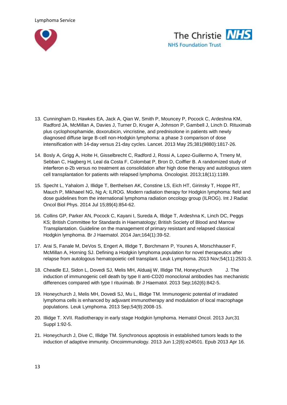



- 13. Cunningham D, Hawkes EA, Jack A, Qian W, Smith P, Mouncey P, Pocock C, Ardeshna KM, Radford JA, McMillan A, Davies J, Turner D, Kruger A, Johnson P, Gambell J, Linch D. Rituximab plus cyclophosphamide, doxorubicin, vincristine, and prednisolone in patients with newly diagnosed diffuse large B-cell non-Hodgkin lymphoma: a phase 3 comparison of dose intensification with 14-day versus 21-day cycles. Lancet. 2013 May 25;381(9880):1817-26.
- 14. Bosly A, Grigg A, Holte H, Gisselbrecht C, Radford J, Rossi A, Lopez-Guillermo A, Trneny M, Sebban C, Hagberg H, Leal da Costa F, Colombat P, Bron D, Coiffier B. A randomized study of interferon α-2b versus no treatment as consolidation after high dose therapy and autologous stem cell transplantation for patients with relapsed lymphoma. Oncologist. 2013;18(11):1189.
- 15. Specht L, Yahalom J, Illidge T, Berthelsen AK, Constine LS, Eich HT, Girinsky T, Hoppe RT, Mauch P, Mikhaeel NG, Ng A; ILROG. Modern radiation therapy for Hodgkin lymphoma: field and dose guidelines from the international lymphoma radiation oncology group (ILROG). Int J Radiat Oncol Biol Phys. 2014 Jul 15;89(4):854-62.
- 16. Collins GP, Parker AN, Pocock C, Kayani I, Sureda A, Illidge T, Ardeshna K, Linch DC, Peggs KS; British Committee for Standards in Haematology; British Society of Blood and Marrow Transplantation. Guideline on the management of primary resistant and relapsed classical Hodgkin lymphoma. Br J Haematol. 2014 Jan;164(1):39-52.
- 17. Arai S, Fanale M, DeVos S, Engert A, Illidge T, Borchmann P, Younes A, Morschhauser F, McMillan A, Horning SJ. Defining a Hodgkin lymphoma population for novel therapeutics after relapse from autologous hematopoietic cell transplant. Leuk Lymphoma. 2013 Nov;54(11):2531-3.
- 18. Cheadle EJ, Sidon L, Dovedi SJ, Melis MH, Alduaij W, Illidge TM, Honeychurch J. The induction of immunogenic cell death by type II anti-CD20 monoclonal antibodies has mechanistic differences compared with type I rituximab. Br J Haematol. 2013 Sep;162(6):842-5.
- 19. Honeychurch J, Melis MH, Dovedi SJ, Mu L, Illidge TM. Immunogenic potential of irradiated lymphoma cells is enhanced by adjuvant immunotherapy and modulation of local macrophage populations. Leuk Lymphoma. 2013 Sep;54(9):2008-15.
- 20. Illidge T. XVII. Radiotherapy in early stage Hodgkin lymphoma. Hematol Oncol. 2013 Jun;31 Suppl 1:92-5.
- 21. Honeychurch J, Dive C, Illidge TM. Synchronous apoptosis in established tumors leads to the induction of adaptive immunity. Oncoimmunology. 2013 Jun 1;2(6):e24501. Epub 2013 Apr 16.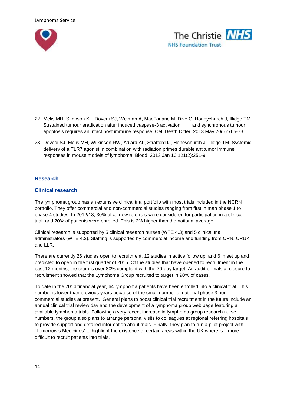



- 22. Melis MH, Simpson KL, Dovedi SJ, Welman A, MacFarlane M, Dive C, Honeychurch J, Illidge TM. Sustained tumour eradication after induced caspase-3 activation and synchronous tumour apoptosis requires an intact host immune response. Cell Death Differ. 2013 May;20(5):765-73.
- 23. Dovedi SJ, Melis MH, Wilkinson RW, Adlard AL, Stratford IJ, Honeychurch J, Illidge TM. Systemic delivery of a TLR7 agonist in combination with radiation primes durable antitumor immune responses in mouse models of lymphoma. Blood. 2013 Jan 10;121(2):251-9.

#### **Research**

#### **Clinical research**

The lymphoma group has an extensive clinical trial portfolio with most trials included in the NCRN portfolio. They offer commercial and non-commercial studies ranging from first in man phase 1 to phase 4 studies. In 2012/13, 30% of all new referrals were considered for participation in a clinical trial, and 20% of patients were enrolled. This is 2% higher than the national average.

Clinical research is supported by 5 clinical research nurses (WTE 4.3) and 5 clinical trial administrators (WTE 4.2). Staffing is supported by commercial income and funding from CRN, CRUK and LLR.

There are currently 26 studies open to recruitment, 12 studies in active follow up, and 6 in set up and predicted to open in the first quarter of 2015. Of the studies that have opened to recruitment in the past 12 months, the team is over 80% compliant with the 70-day target. An audit of trials at closure to recruitment showed that the Lymphoma Group recruited to target in 90% of cases.

To date in the 2014 financial year, 64 lymphoma patients have been enrolled into a clinical trial. This number is lower than previous years because of the small number of national phase 3 noncommercial studies at present. General plans to boost clinical trial recruitment in the future include an annual clinical trial review day and the development of a lymphoma group web page featuring all available lymphoma trials. Following a very recent increase in lymphoma group research nurse numbers, the group also plans to arrange personal visits to colleagues at regional referring hospitals to provide support and detailed information about trials. Finally, they plan to run a pilot project with 'Tomorrow's Medicines' to highlight the existence of certain areas within the UK where is it more difficult to recruit patients into trials.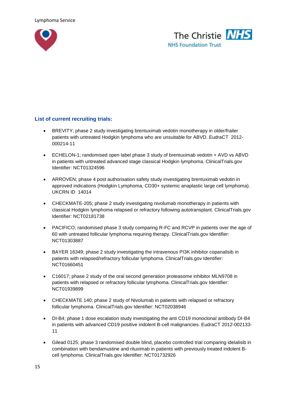



## **List of current recruiting trials:**

- BREVITY; phase 2 study investigating brentuximab vedotin monotherapy in older/frailer patients with untreated Hodgkin lymphoma who are unsuitable for ABVD. EudraCT 2012- 000214-11
- ECHELON-1; randomised open label phase 3 study of brentuximab vedotin + AVD vs ABVD in patients with untreated advanced stage classical Hodgkin lymphoma. ClinicalTrials.gov Identifier: NCT01324596
- ARROVEN; phase 4 post authorisation safety study investigating brentuximab vedotin in approved indications (Hodgkin Lymphoma, CD30+ systemic anaplastic large cell lymphoma). UKCRN ID 14014
- CHECKMATE-205; phase 2 study investigating nivolumab monotherapy in patients with classical Hodgkin lymphoma relapsed or refractory following autotransplant. ClinicalTrials.gov Identifier: NCT02181738
- PACIFICO; randomised phase 3 study comparing R-FC and RCVP in patients over the age of 60 with untreated follicular lymphoma requiring therapy. ClinicalTrials.gov Identifier: NCT01303887
- BAYER 16349; phase 2 study investigating the intravenous PI3K inhibitor copanalisib in patients with relapsed/refractory follicular lymphoma. ClinicalTrials.gov Identifier: NCT01660451
- C16017; phase 2 study of the oral second generation proteasome inhibitor MLN9708 in patients with relapsed or refractory follicular lymphoma. ClinicalTrials.gov Identifier: NCT01939899
- CHECKMATE 140; phase 2 study of Nivolumab in patients with relapsed or refractory follicular lymphoma. ClinicalTrials.gov Identifier: NCT02038946
- DI-B4; phase 1 dose escalation study investigating the anti CD19 monoclonal antibody DI-B4 in patients with advanced CD19 positive indolent B-cell malignancies. EudraCT 2012-002133- 11
- Gilead 0125; phase 3 randomised double blind, placebo controlled trial comparing idelalisib in combination with bendamustine and rituximab in patients with previously treated indolent Bcell lymphoma. ClinicalTrials.gov Identifier: NCT01732926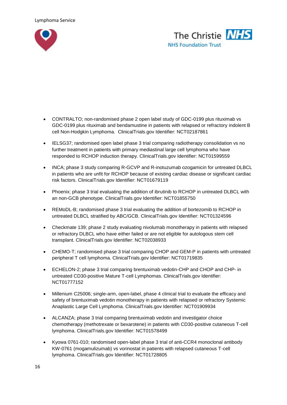



- CONTRALTO; non-randomised phase 2 open label study of GDC-0199 plus rituximab vs GDC-0199 plus rituximab and bendamustine in patients with relapsed or refractory indolent B cell Non-Hodgkin Lymphoma. ClinicalTrials.gov Identifier: NCT02187861
- IELSG37; randomised open label phase 3 trial comparing radiotherapy consolidation vs no further treatment in patients with primary mediastinal large cell lymphoma who have responded to RCHOP induction therapy. ClinicalTrials.gov Identifier: NCT01599559
- INCA; phase 3 study comparing R-GCVP and R-inotuzumab ozogamicin for untreated DLBCL in patients who are unfit for RCHOP because of existing cardiac disease or significant cardiac risk factors. ClinicalTrials.gov Identifier: NCT01679119
- Phoenix; phase 3 trial evaluating the addition of ibrutinib to RCHOP in untreated DLBCL with an non-GCB phenotype. ClinicalTrials.gov Identifier: NCT01855750
- REMoDL-B; randomised phase 3 trial evaluating the addition of bortezomib to RCHOP in untreated DLBCL stratified by ABC/GCB. ClinicalTrials.gov Identifier: NCT01324596
- Checkmate 139; phase 2 study evaluating nivolumab monotherapy in patients with relapsed or refractory DLBCL who have either failed or are not eligible for autologous stem cell transplant. ClinicalTrials.gov Identifier: NCT02038933
- CHEMO-T; randomised phase 3 trial comparing CHOP and GEM-P in patients with untreated peripheral T cell lymphoma. ClinicalTrials.gov Identifier: NCT01719835
- ECHELON-2; phase 3 trial comparing brentuximab vedotin-CHP and CHOP and CHP- in untreated CD30-positive Mature T-cell Lymphomas. ClinicalTrials.gov Identifier: NCT01777152
- Millenium C25006; single-arm, open-label, phase 4 clinical trial to evaluate the efficacy and safety of brentuximab vedotin monotherapy in patients with relapsed or refractory Systemic Anaplastic Large Cell Lymphoma. ClinicalTrials.gov Identifier: NCT01909934
- ALCANZA; phase 3 trial comparing brentuximab vedotin and investigator choice chemotherapy (methotrexate or bexarotene) in patients with CD30-positive cutaneous T-cell lymphoma. ClinicalTrials.gov Identifier: NCT01578499
- Kyowa 0761-010; randomised open-label phase 3 trial of anti-CCR4 monoclonal antibody KW-0761 (mogamulizumab) vs vorinostat in patients with relapsed cutaneous T-cell lymphoma. ClinicalTrials.gov Identifier: NCT01728805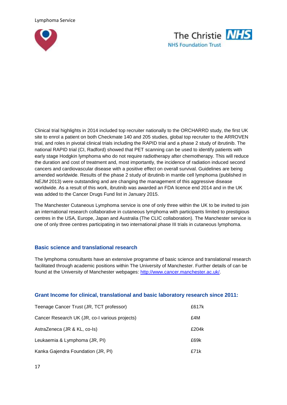



Clinical trial highlights in 2014 included top recruiter nationally to the ORCHARRD study, the first UK site to enrol a patient on both Checkmate 140 and 205 studies, global top recruiter to the ARROVEN trial, and roles in pivotal clinical trials including the RAPID trial and a phase 2 study of ibrutinib. The national RAPID trial (CI, Radford) showed that PET scanning can be used to identify patients with early stage Hodgkin lymphoma who do not require radiotherapy after chemotherapy. This will reduce the duration and cost of treatment and, most importantly, the incidence of radiation induced second cancers and cardiovascular disease with a positive effect on overall survival. Guidelines are being amended worldwide. Results of the phase 2 study of ibrutinib in mantle cell lymphoma (published in *NEJM* 2013) were outstanding and are changing the management of this aggressive disease worldwide. As a result of this work, ibrutinib was awarded an FDA licence end 2014 and in the UK was added to the Cancer Drugs Fund list in January 2015.

The Manchester Cutaneous Lymphoma service is one of only three within the UK to be invited to join an international research collaborative in cutaneous lymphoma with participants limited to prestigious centres in the USA, Europe, Japan and Australia (The CLIC collaboration). The Manchester service is one of only three centres participating in two international phase III trials in cutaneous lymphoma.

#### **Basic science and translational research**

The lymphoma consultants have an extensive programme of basic science and translational research facilitated through academic positions within The University of Manchester. Further details of can be found at the University of Manchester webpages: [http://www.cancer.manchester.ac.uk/.](http://www.cancer.manchester.ac.uk/)

#### **Grant Income for clinical, translational and basic laboratory research since 2011:**

| Teenage Cancer Trust (JR, TCT professor)       | £617k |
|------------------------------------------------|-------|
| Cancer Research UK (JR, co-I various projects) | £4M   |
| AstraZeneca (JR & KL, co-Is)                   | £204k |
| Leukaemia & Lymphoma (JR, PI)                  | £69k  |
| Kanka Gajendra Foundation (JR, PI)             | £71k  |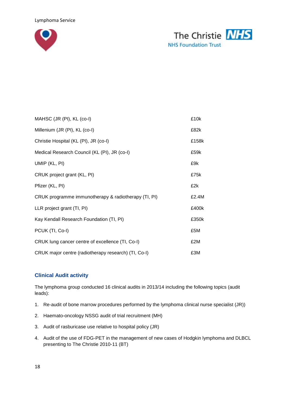



| MAHSC (JR (PI), KL (co-I)                            | £10k  |
|------------------------------------------------------|-------|
| Millenium (JR (PI), KL (co-I)                        | £82k  |
| Christie Hospital (KL (PI), JR (co-I)                | £158k |
| Medical Research Council (KL (PI), JR (co-I)         | £59k  |
| UMIP (KL, PI)                                        | £9k   |
| CRUK project grant (KL, PI)                          | £75k  |
| Pfizer (KL, PI)                                      | £2k   |
| CRUK programme immunotherapy & radiotherapy (TI, PI) | £2.4M |
| LLR project grant (TI, PI)                           | £400k |
| Kay Kendall Research Foundation (TI, PI)             | £350k |
| PCUK (TI, Co-I)                                      | £5M   |
| CRUK lung cancer centre of excellence (TI, Co-I)     | £2M   |
| CRUK major centre (radiotherapy research) (TI, Co-I) | £3M   |

# **Clinical Audit activity**

The lymphoma group conducted 16 clinical audits in 2013/14 including the following topics (audit leads):

- 1. Re-audit of bone marrow procedures performed by the lymphoma clinical nurse specialist (JR))
- 2. Haemato-oncology NSSG audit of trial recruitment (MH)
- 3. Audit of rasburicase use relative to hospital policy (JR)
- 4. Audit of the use of FDG-PET in the management of new cases of Hodgkin lymphoma and DLBCL presenting to The Christie 2010-11 (BT)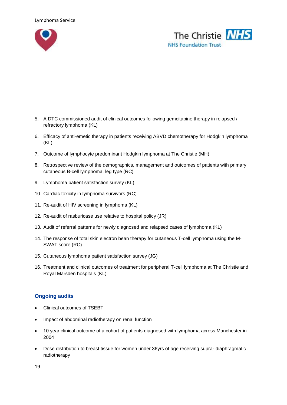



- 5. A DTC commissioned audit of clinical outcomes following gemcitabine therapy in relapsed / refractory lymphoma (KL)
- 6. Efficacy of anti-emetic therapy in patients receiving ABVD chemotherapy for Hodgkin lymphoma (KL)
- 7. Outcome of lymphocyte predominant Hodgkin lymphoma at The Christie (MH)
- 8. Retrospective review of the demographics, management and outcomes of patients with primary cutaneous B-cell lymphoma, leg type (RC)
- 9. Lymphoma patient satisfaction survey (KL)
- 10. Cardiac toxicity in lymphoma survivors (RC)
- 11. Re-audit of HIV screening in lymphoma (KL)
- 12. Re-audit of rasburicase use relative to hospital policy (JR)
- 13. Audit of referral patterns for newly diagnosed and relapsed cases of lymphoma (KL)
- 14. The response of total skin electron bean therapy for cutaneous T-cell lymphoma using the M-SWAT score (RC)
- 15. Cutaneous lymphoma patient satisfaction survey (JG)
- 16. Treatment and clinical outcomes of treatment for peripheral T-cell lymphoma at The Christie and Royal Marsden hospitals (KL)

#### **Ongoing audits**

- Clinical outcomes of TSEBT
- Impact of abdominal radiotherapy on renal function
- 10 year clinical outcome of a cohort of patients diagnosed with lymphoma across Manchester in 2004
- Dose distribution to breast tissue for women under 36yrs of age receiving supra- diaphragmatic radiotherapy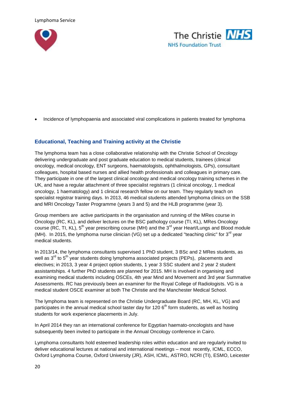



Incidence of lymphopaenia and associated viral complications in patients treated for lymphoma

## **Educational, Teaching and Training activity at the Christie**

The lymphoma team has a close collaborative relationship with the Christie School of Oncology delivering undergraduate and post graduate education to medical students, trainees (clinical oncology, medical oncology, ENT surgeons, haematologists, ophthalmologists, GPs), consultant colleagues, hospital based nurses and allied health professionals and colleagues in primary care. They participate in one of the largest clinical oncology and medical oncology training schemes in the UK, and have a regular attachment of three specialist registrars (1 clinical oncology, 1 medical oncology, 1 haematology) and 1 clinical research fellow on our team. They regularly teach on specialist registrar training days. In 2013, 46 medical students attended lymphoma clinics on the SSB and MRI Oncology Taster Programme (years 3 and 5) and the HLB programme (year 3).

Group members are active participants in the organisation and running of the MRes course in Oncology (RC, KL), and deliver lectures on the BSC pathology course (TI, KL), MRes Oncology course (RC, TI, KL), 5<sup>th</sup> year prescribing course (MH) and the 3<sup>rd</sup> year Heart/Lungs and Blood module (MH). In 2015, the lymphoma nurse clinician (VG) set up a dedicated "teaching clinic" for  $3<sup>rd</sup>$  year medical students.

In 2013/14, the lymphoma consultants supervised 1 PhD student, 3 BSc and 2 MRes students, as well as  $3<sup>rd</sup>$  to  $5<sup>th</sup>$  year students doing lymphoma associated projects (PEPs), placements and electives; in 2013, 3 year 4 project option students, 1 year 3 SSC student and 2 year 2 student assistantships. 4 further PhD students are planned for 2015. MH is involved in organising and examining medical students including OSCEs, 4th year Mind and Movement and 3rd year Summative Assessments. RC has previously been an examiner for the Royal College of Radiologists. VG is a medical student OSCE examiner at both The Christie and the Manchester Medical School.

The lymphoma team is represented on the Christie Undergraduate Board (RC, MH, KL, VG) and participates in the annual medical school taster day for 120  $6<sup>th</sup>$  form students, as well as hosting students for work experience placements in July.

In April 2014 they ran an international conference for Egyptian haemato-oncologists and have subsequently been invited to participate in the Annual Oncology conference in Cairo.

Lymphoma consultants hold esteemed leadership roles within education and are regularly invited to deliver educational lectures at national and international meetings – most recently, ICML, ECCO, Oxford Lymphoma Course, Oxford University (JR), ASH, ICML, ASTRO, NCRI (TI), ESMO, Leicester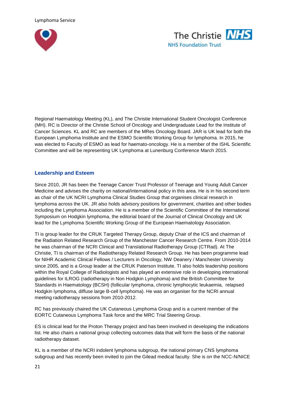



Regional Haematology Meeting (KL), and The Christie International Student Oncologist Conference (MH). RC is Director of the Christie School of Oncology and Undergraduate Lead for the Institute of Cancer Sciences. KL and RC are members of the MRes Oncology Board. JAR is UK lead for both the European Lymphoma Institute and the ESMO Scientific Working Group for lymphoma. In 2015, he was elected to Faculty of ESMO as lead for haemato-oncology. He is a member of the ISHL Scientific Committee and will be representing UK Lymphoma at Lunenburg Conference March 2015.

#### **Leadership and Esteem**

Since 2010, JR has been the Teenage Cancer Trust Professor of Teenage and Young Adult Cancer Medicine and advises the charity on national/international policy in this area. He is in his second term as chair of the UK NCRI Lymphoma Clinical Studies Group that organises clinical research in lymphoma across the UK. JR also holds advisory positions for government, charities and other bodies including the Lymphoma Association. He is a member of the Scientific Committee of the International Symposium on Hodgkin lymphoma, the editorial board of the Journal of Clinical Oncology and UK lead for the Lymphoma Scientific Working Group of the European Haematology Association.

TI is group leader for the CRUK Targeted Therapy Group, deputy Chair of the ICS and chairman of the Radiation Related Research Group of the Manchester Cancer Research Centre. From 2010-2014 he was chairman of the NCRI Clinical and Translational Radiotherapy Group (CTRad). At The Christie, TI is chairman of the Radiotherapy Related Research Group. He has been programme lead for NIHR Academic Clinical Fellows / Lecturers in Oncology, NW Deanery / Manchester University since 2005, and is a Group leader at the CRUK Paterson Institute. TI also holds leadership positions within the Royal College of Radiologists and has played an extensive role in developing international guidelines for ILROG (radiotherapy in Non Hodgkin Lymphoma) and the British Committee for Standards in Haematology (BCSH) (follicular lymphoma, chronic lymphocytic leukaemia, relapsed Hodgkin lymphoma, diffuse large B-cell lymphoma). He was an organiser for the NCRI annual meeting radiotherapy sessions from 2010-2012.

RC has previously chaired the UK Cutaneous Lymphoma Group and is a current member of the EORTC Cutaneous Lymphoma Task force and the MRC Trial Steering Group.

ES is clinical lead for the Proton Therapy project and has been involved in developing the indications list. He also chairs a national group collecting outcomes data that will form the basis of the national radiotherapy dataset.

KL is a member of the NCRI indolent lymphoma subgroup, the national primary CNS lymphoma subgroup and has recently been invited to join the Gilead medical faculty. She is on the NCC-N/NICE